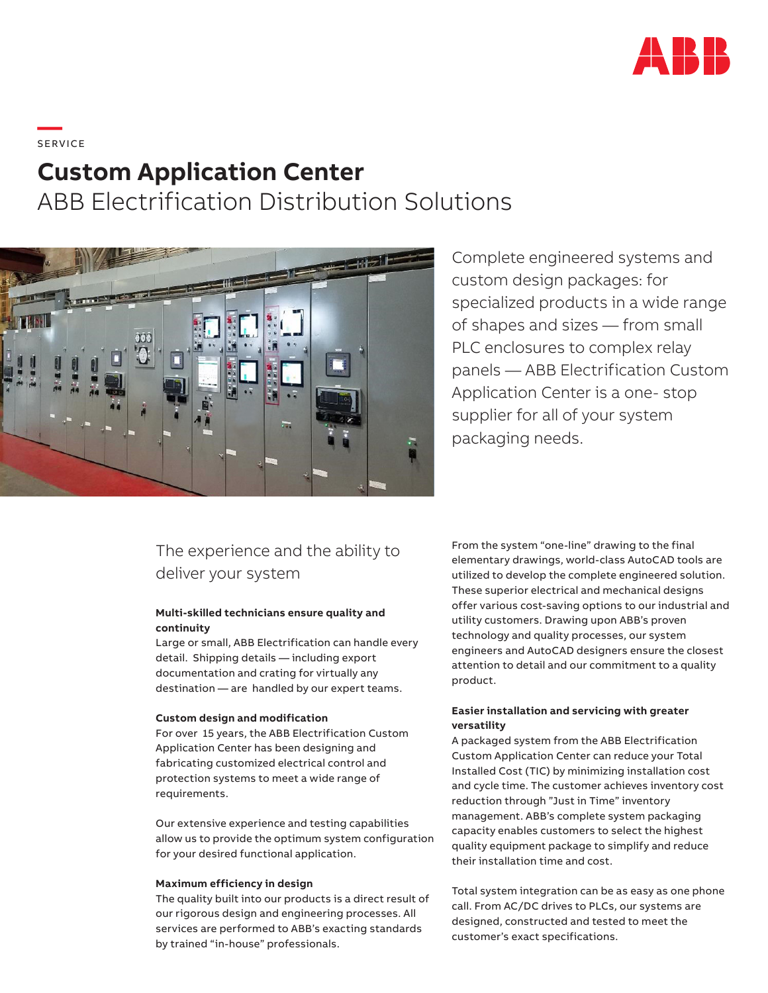

**—**  S ERV I CE

# **Custom Application Center**

ABB Electrification Distribution Solutions



Complete engineered systems and custom design packages: for specialized products in a wide range of shapes and sizes — from small PLC enclosures to complex relay panels — ABB Electrification Custom Application Center is a one- stop supplier for all of your system packaging needs.

# The experience and the ability to deliver your system

# **Multi-skilled technicians ensure quality and continuity**

Large or small, ABB Electrification can handle every detail. Shipping details — including export documentation and crating for virtually any destination — are handled by our expert teams.

## **Custom design and modification**

For over 15 years, the ABB Electrification Custom Application Center has been designing and fabricating customized electrical control and protection systems to meet a wide range of requirements.

Our extensive experience and testing capabilities allow us to provide the optimum system configuration for your desired functional application.

#### **Maximum efficiency in design**

The quality built into our products is a direct result of our rigorous design and engineering processes. All services are performed to ABB's exacting standards by trained "in-house" professionals.

From the system "one-line" drawing to the final elementary drawings, world-class AutoCAD tools are utilized to develop the complete engineered solution. These superior electrical and mechanical designs offer various cost-saving options to our industrial and utility customers. Drawing upon ABB's proven technology and quality processes, our system engineers and AutoCAD designers ensure the closest attention to detail and our commitment to a quality product.

# **Easier installation and servicing with greater versatility**

A packaged system from the ABB Electrification Custom Application Center can reduce your Total Installed Cost (TIC) by minimizing installation cost and cycle time. The customer achieves inventory cost reduction through "Just in Time" inventory management. ABB's complete system packaging capacity enables customers to select the highest quality equipment package to simplify and reduce their installation time and cost.

Total system integration can be as easy as one phone call. From AC/DC drives to PLCs, our systems are designed, constructed and tested to meet the customer's exact specifications.